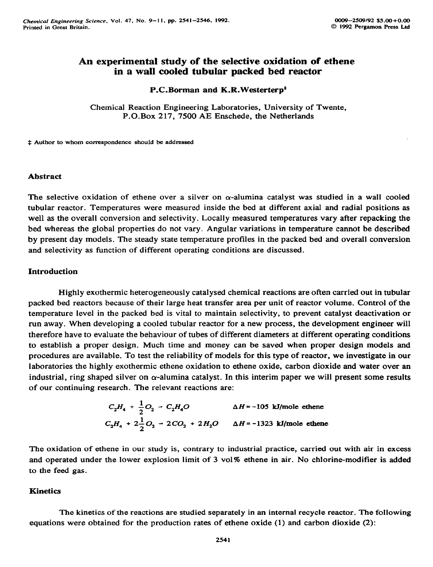# **An experimental study of the selective oxidation of ethene in a wall cooled tubular packed bed reactor**

#### **P.C.Borman and K.R.Westerterp\***

**Chemical Reaction Engineering Laboratories, University of Twente, P.O.Box 217, 7500 AE Enschede, the Netherlands** 

**\$ Author to whom correspondence should be addressed** 

### **Abstract**

The selective oxidation of ethene over a silver on  $\alpha$ -alumina catalyst was studied in a wall cooled **tubular reactor. Temperatures were measured inside the bed at different axial and radial positions as well as the overall conversion and selectivity. Locally measured temperatures vary after repacking the bed whereas the global properties do not vary. Angular variations in temperature cannot be described by present day models. The steady state temperature profiles in the packed bed and overall conversion and selectivity as function of different operating conditions are discussed.** 

## **Introduction**

**Highly exothermic heterogeneously catalysed chemical reactions are often carried out in tubular packed bed reactors because of their large heat transfer area per unit of reactor volume. Control of the temperature level in the packed bed is vital to maintain selectivity, to prevent catalyst deactivation or run away. When developing a cooled tubular reactor for a new process, the development engineer will therefore have to evaluate the behaviour of tubes of different diameters at different operating conditions to establish a proper design. Much time and money can be saved when proper design models and procedures are available. To test the reliability of models for this type of reactor, we investigate in our laboratories the highly exothermic ethene oxidation to ethene oxide, carbon dioxide and water over an**  industrial, ring shaped silver on  $\alpha$ -alumina catalyst. In this interim paper we will present some results **of our continuing research. The relevant reactions are:** 

$$
C_2H_4 + \frac{1}{2}O_2 - C_2H_4O
$$
  $\Delta H = -105$  kJ/mole ethene  
 $C_2H_4 + 2\frac{1}{2}O_2 - 2CO_2 + 2H_2O$   $\Delta H = -1323$  kJ/mole ethene

**The oxidation of ethene in our study is, contrary to industrial practice, carried out with air in excess**  and operated under the lower explosion limit of 3 vol% ethene in air. No chlorine-modifier is added **to the feed gas.** 

#### **Kinetics**

**The kinetics of the reactions are studied separately in an internal recycle reactor. The following equations were obtained for the production rates of ethene oxide (1) and carbon dioxide (2):**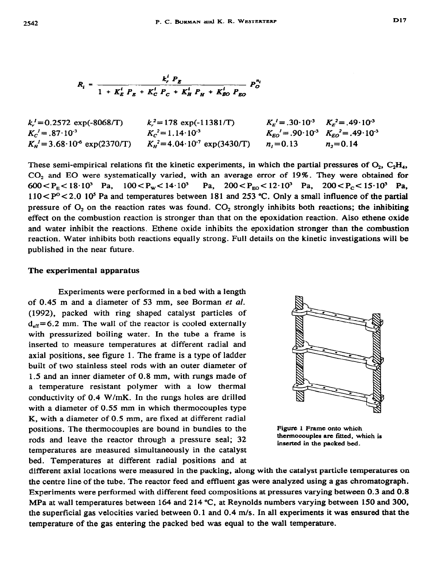$$
R_{i} = \frac{k_{i}^{i} P_{E}}{1 + K_{E}^{i} P_{E} + K_{C}^{i} P_{C} + K_{H}^{i} P_{H} + K_{EO}^{i} P_{EO}} P_{OO}^{n_{i}}
$$

| $k_r = 0.2572 \exp(-8068/T)$             | $k^2 = 178 \exp(-11381/T)$              | $K_{\rm g}^2 = .30 \cdot 10^{-3}$ $K_{\rm g}^2 = .49 \cdot 10^{-3}$                           |              |
|------------------------------------------|-----------------------------------------|-----------------------------------------------------------------------------------------------|--------------|
| $K_c^2 = .87 \cdot 10^{-3}$              | $K_c^2 = 1.14 \cdot 10^{-3}$            | $K_{\text{EO}}^{\prime} = .90 \cdot 10^{-3} \quad K_{\text{EO}}^{\prime} = .49 \cdot 10^{-3}$ |              |
| $K_n^2 = 3.68 \cdot 10^{-6}$ exp(2370/T) | $K_{H}^{2}=4.04\cdot10^{7}$ exp(3430/T) | $n = 0.13$                                                                                    | $n_{2}=0.14$ |

These semi-empirical relations fit the kinetic experiments, in which the partial pressures of  $O_2$ ,  $C_2H_4$ , CO, and EO were systematically varied, with an average error of 19%. They were obtained for  $600 < P_E < 18 \cdot 10^3$  Pa,  $100 < P_W < 14 \cdot 10^3$  Pa,  $200 < P_{EQ} < 12 \cdot 10^3$  Pa,  $200 < P_C < 15 \cdot 10^3$  Pa,  $110 < P^{\circ} < 2.0$  10<sup>5</sup> Pa and temperatures between 181 and 253 °C. Only a small influence of the partial pressure of  $O_2$  on the reaction rates was found.  $CO_2$  strongly inhibits both reactions; the inhibiting effect on the combustion reaction is stronger than that on the epoxidation reaction. Also ethene oxide and water inhibit the reactions. Ethene oxide inhibits the epoxidation stronger than the combustion reaction. Water inhibits both reactions equally strong. Full details on the kinetic investigations will be published in the near future.

### **The experimental apparatus**

Experiments were performed in a bed with a length of 0.45 m and a diameter of 53 mm, see Borman et al. (1992), packed with ring shaped catalyst particles of  $d_{eff}$ =6.2 mm. The wall of the reactor is cooled externally with pressurized boiling water. In the tube a frame is inserted to measure temperatures at different radial and axial positions, see figure 1. The frame is a type of ladder built of two stainless steel rods with an outer diameter of 1.5 and an inner diameter of 0.8 mm, with rungs made of a temperature resistant polymer with a low thermal conductivity of 0.4 W/mK. In the rungs holes are drilled with a diameter of 0.55 mm in which thermocouples type K, with a diameter of 0.5 mm, are fixed at different radial positions. The thermocouples are bound in bundles to the rods and leave the reactor through a pressure seal; 32 temperatures are measured simultaneously in the catalyst bed. Temperatures at different radial positions and at



Figure **1 Frame onto which**  thermocouples are fitted, which is **inserted in the packed bed.** 

different axial locations were measured in the packing, along with the catalyst particle temperatures on the centre line of the tube. The reactor feed and effluent gas were analyzed using a gas chromatograph. Experiments were performed with different feed compositions at pressures varying between 0.3 **and** 0.8 MPa at wall temperatures between 164 and 214 °C, at Reynolds numbers varying between 150 and 300, the superficial gas velocities varied between 0.1 and 0.4 m/s. In all experiments it was ensured that the temperature of the gas entering the packed bed was equal to the wall temperature.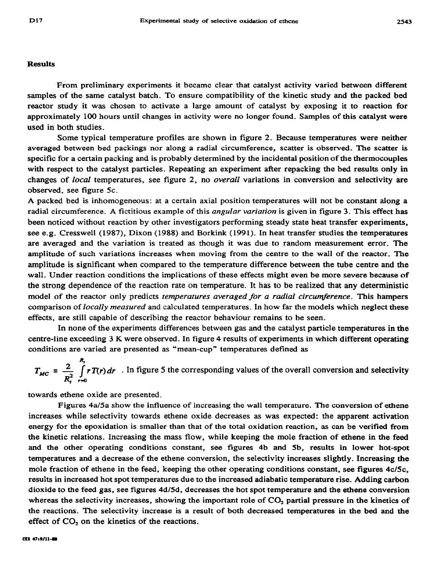#### **Results**

**From preliminary experiments it became clear that catalyst activity varied between different samples of the same catalyst batch. To ensure compatibility of the kinetic study and the packed bed reactor study it was chosen to activate a large amount of catalyst by exposing it to reaction for approximately 100 hours until changes in activity were no longer found. Samples of this catalyst were used in both studies.** 

Some typical temperature profiles are shown in figure 2. Because temperatures were neither **averaged between bed packings nor along a radial circumference, scatter is observed. The scatter is specific for a certain packing and is probably determined by the incidental position of the thermocouples with respect to the catalyst particles. Repeating an experiment after repacking the bed results only in changes of** *local* **temperatures, see figure 2, no** *overall* **variations in conversion and selectivity are observed, see figure 5c.** 

**A packed bed is inhomogeneous: at a certain axial position temperatures will not be constant along a radial circumference. A fictitious example of this angular** *variation* **is given in figure 3. This effect has been noticed without reaction by other investigators performing steady state heat transfer experiments, see e.g. Cresswell (1987), Dixon (1988) and Borkink (1991). In heat transfer studies the temperatures are averaged and the variation is treated as though it was due to random measurement error. The amplitude of such variations increases when moving from the centre to the wall of the reactor. The amplitude is significant when compared to the temperature difference between the tube centre and the wall. Under reaction conditions the implications of these effects might even be more severe because of the strong dependence of the reaction rate on temperature. It has to be realized that any deterministic model of the reactor only predicts** *temperatures averaged for a radial circumference.* **This hampers**  comparison of *locally measured* and calculated temperatures. In how far the models which neglect these **effects, are still capable of describing the reactor behaviour remains to be seen.** 

**In none of the experiments differences between gas and the catalyst particle temperatures in the centre-line exceeding 3 K were observed. In figure 4 results of experiments in which different operating conditions are varied are presented as "mean-cup" temperatures defined as** 

$$
T_{MC} = \frac{2}{R_t^2} \int_{r=0}^{R_t} rT(r) dr
$$
. In figure 5 the corresponding values of the overall conversion and selectivity

**towards ethene oxide are presented.** 

**Figures 4a/5a show the influence of increasing the wall temperature. The conversion of ethene increases while selectivity towards ethene oxide decreases as was expected: the apparent activation energy for the epoxidation is smaller than that of the total oxidation reaction, as can be verified from the kinetic relations. Increasing the mass flow, while keeping the mole fraction of ethene in the feed and the other operating conditions constant, see figures 4b and Sb, results in lower hot-spot temperatures and a decrease of the ethene conversion, the selectivity increases slightly. Increasing the**  mole fraction of ethene in the feed, keeping the other operating conditions constant, see figures 4c/5c, **results in increased hot spot temperatures due to the increased adiabatic temperature rise. Adding carbon dioxide to the feed gas, see figures 4d/Sd, decreases the hot spot temperature and the ethene conversion**  whereas the selectivity increases, showing the important role of CO<sub>2</sub> partial pressure in the kinetics of **the reactions. The selectivity increase is a result of both decreased temperatures in the bed and the effect of CO, on the kinetics of the reactions.**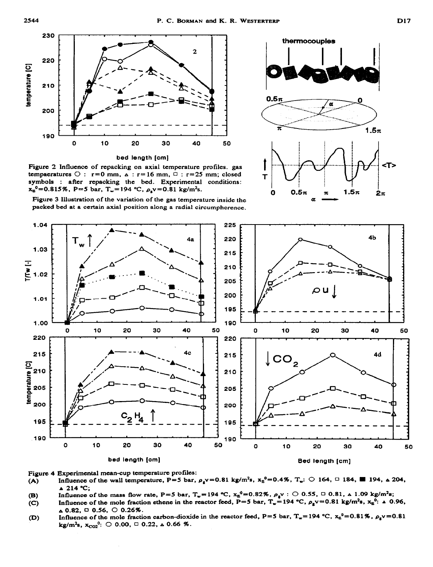

**Figure 2** Influence **of repacking on axial temperature profiles. gas tempaeratures**  $\bigcirc$  :  $r=0$  mm,  $\bigcirc$  :  $r=16$  mm,  $\bigcirc$  :  $r=25$  mm; closed symbols : **after repacking the bed. Experimental conditions:**   $x_{\rm g}^0$ =0.815%, P=5 bar, T<sub>w</sub>=194 °C,  $\rho_{\rm g}$ v=0.81 kg/m<sup>2</sup>s.

**Figure 3 Illustration of the variation of the gas temperature inside the**  packed bed at a certain axial position along a radial circumpherence.



**<sup>I</sup>**thermocouples



**Figure 4 Experimental mean-cup temperature profiles:** 

- (A) Influence of the wall temperature,  $P=5$  bar,  $\rho_{g}v=0.81$  kg/m<sup>2</sup>s,  $x_{B}^{0}=0.4\%$ ,  $T_{w}$ : 0 164, 0 184, 194,  $\Delta$  204, **A 214 Oc;**
- 
- **(B)** Influence of the mass flow rate,  $P=5$  bar,  $T_w=194$  °C,  $x_g^0=0.82\%$ ,  $\rho_g v$  :  $\bigcirc$  0.55,  $\bigcirc$  0.81,  $\wedge$  1.09 kg/m<sup>2</sup>s;  $\langle C \rangle$  Influence of the mole fraction ethene in the reactor feed,  $P=5$  bar,  $T_w=194$  °C Influence of the mole fraction ethene in the reactor feed,  $P=5$  bar,  $T_w=194$  °C,  $\rho_g v=0.81$  kg/m<sup>2</sup>s.  $x_g^0$ :  $\Delta 0.96$ ,  $\Delta$  0.82, 0 0.56, 0 0.26%.
- (D) Influence of the mole fraction carbon-dioxide in the reactor feed, P=5 bar,  $T_w$ = 194 °C,  $x_0^0$ = 0.81%,  $\rho_g v$ = 0.81 **kg/m<sup>2</sup>s,**  $x_{CO2}^0$ **:**  $\bigcirc$  0.00,  $\bigcirc$  0.22,  $\bigcirc$  0.66 %.

1.04

1.03

 $T_{w}$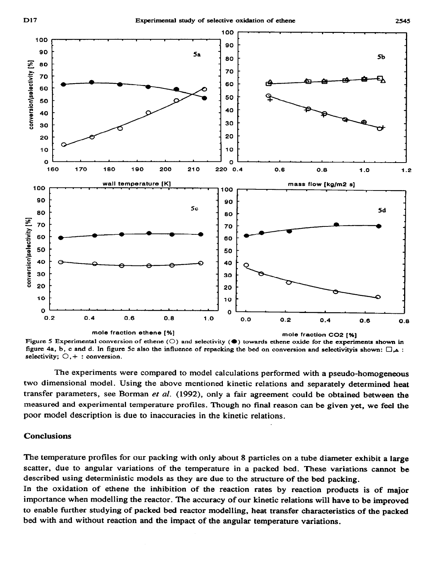

Figure 5 Experimental conversion of ethene (O) and selectivity ( $\bullet$ ) towards ethene oxide for the experiments shown in figure 4a, b, c and d. In figure 5c also the influence of repacking the bed on conversion and selectivityis shown:  $\Box_{\mathbf{A}}$ : selectivity;  $\bigcirc$ , + : conversion.

The experiments were compared to model calculations performed with a pseudo-homogeneous two dimensional model. Using the above mentioned kinetic relations and separately determined heat transfer parameters, see Borman et al. (1992), only a fair agreement could be obtained between the measured and experimental temperature profiles. Though no final reason can be given yet, we feel the poor model description is due to inaccuracies in the kinetic relations.

#### **Conclusions**

The temperature profiles for our packing with only about 8 particles on a tube diameter exhibit a large **scatter, due to** angular variations of the temperature in a packed bed. These **variations cannot** be described using deterministic models as they are due **to the** structure of the bed packing.

In the oxidation of ethene the inhibition of the reaction rates by reaction products is of major importance when modelling the reactor. The accuracy of our kinetic relations will have to be improved to enable further studying of packed bed reactor modelling, heat transfer characteristics of the packed bed with and without reaction and the impact of the angular temperature variations.